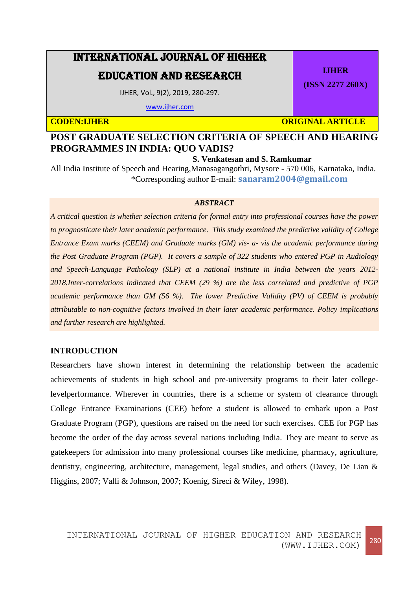# INTERNATIONAL JOURNAL OF HIGHER

## EDUCATION AND RESEARCH

IJHER, Vol., 9(2), 2019, 280-297.

[www.ijher.com](http://www.ijher.com/)

**CODEN:IJHER CODEN: CODEN: CODEN: CODEN: CODEN: CODEN: CODEN: CODEN: CODEN: CODEN: CODEN: CODEN: CODEN: CODEN: CODEN: CODEN: CODEN: CODEN: CODEN: CODEN: CODEN: CODEN: CODEN: CO** 

**IJHER**

**(ISSN 2277 260X)**

## **POST GRADUATE SELECTION CRITERIA OF SPEECH AND HEARING PROGRAMMES IN INDIA: QUO VADIS?**

**S. Venkatesan and S. Ramkumar**

All India Institute of Speech and Hearing,Manasagangothri, Mysore - 570 006, Karnataka, India. \*Corresponding author E-mail: **sanaram2004@gmail.com**

#### *ABSTRACT*

*A critical question is whether selection criteria for formal entry into professional courses have the power to prognosticate their later academic performance. This study examined the predictive validity of College Entrance Exam marks (CEEM) and Graduate marks (GM) vis- a- vis the academic performance during the Post Graduate Program (PGP). It covers a sample of 322 students who entered PGP in Audiology and Speech-Language Pathology (SLP) at a national institute in India between the years 2012- 2018.Inter-correlations indicated that CEEM (29 %) are the less correlated and predictive of PGP academic performance than GM (56 %). The lower Predictive Validity (PV) of CEEM is probably attributable to non-cognitive factors involved in their later academic performance. Policy implications and further research are highlighted.*

## **INTRODUCTION**

Researchers have shown interest in determining the relationship between the academic achievements of students in high school and pre-university programs to their later collegelevelperformance. Wherever in countries, there is a scheme or system of clearance through College Entrance Examinations (CEE) before a student is allowed to embark upon a Post Graduate Program (PGP), questions are raised on the need for such exercises. CEE for PGP has become the order of the day across several nations including India. They are meant to serve as gatekeepers for admission into many professional courses like medicine, pharmacy, agriculture, dentistry, engineering, architecture, management, legal studies, and others (Davey, De Lian & Higgins, 2007; Valli & Johnson, 2007; Koenig, Sireci & Wiley, 1998).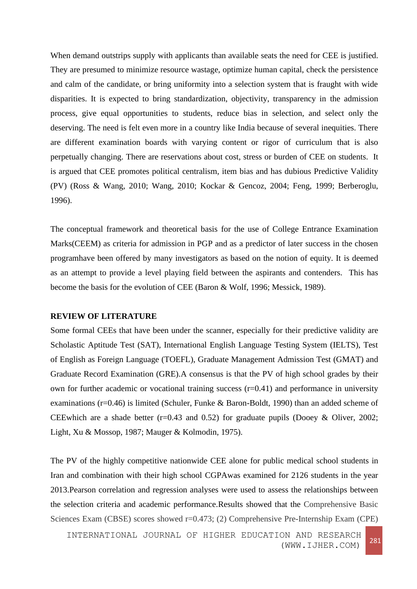When demand outstrips supply with applicants than available seats the need for CEE is justified. They are presumed to minimize resource wastage, optimize human capital, check the persistence and calm of the candidate, or bring uniformity into a selection system that is fraught with wide disparities. It is expected to bring standardization, objectivity, transparency in the admission process, give equal opportunities to students, reduce bias in selection, and select only the deserving. The need is felt even more in a country like India because of several inequities. There are different examination boards with varying content or rigor of curriculum that is also perpetually changing. There are reservations about cost, stress or burden of CEE on students. It is argued that CEE promotes political centralism, item bias and has dubious Predictive Validity (PV) (Ross & Wang, 2010; Wang, 2010; Kockar & Gencoz, 2004; Feng, 1999; Berberoglu, 1996).

The conceptual framework and theoretical basis for the use of College Entrance Examination Marks(CEEM) as criteria for admission in PGP and as a predictor of later success in the chosen programhave been offered by many investigators as based on the notion of equity. It is deemed as an attempt to provide a level playing field between the aspirants and contenders. This has become the basis for the evolution of CEE (Baron & Wolf, 1996; Messick, 1989).

#### **REVIEW OF LITERATURE**

Some formal CEEs that have been under the scanner, especially for their predictive validity are Scholastic Aptitude Test (SAT), International English Language Testing System (IELTS), Test of English as Foreign Language (TOEFL), Graduate Management Admission Test (GMAT) and Graduate Record Examination (GRE).A consensus is that the PV of high school grades by their own for further academic or vocational training success  $(r=0.41)$  and performance in university examinations (r=0.46) is limited (Schuler, Funke & Baron-Boldt, 1990) than an added scheme of CEEwhich are a shade better  $(r=0.43$  and 0.52) for graduate pupils (Dooey & Oliver, 2002; Light, Xu & Mossop, 1987; Mauger & Kolmodin, 1975).

The PV of the highly competitive nationwide CEE alone for public medical school students in Iran and combination with their high school CGPAwas examined for 2126 students in the year 2013.Pearson correlation and regression analyses were used to assess the relationships between the selection criteria and academic performance.Results showed that the Comprehensive Basic Sciences Exam (CBSE) scores showed r=0.473; (2) Comprehensive Pre-Internship Exam (CPE)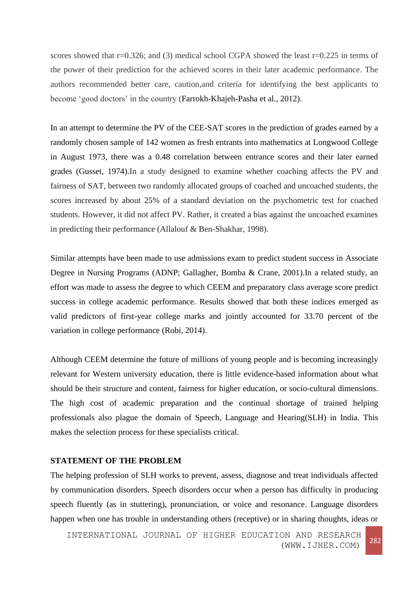scores showed that r=0.326; and (3) medical school CGPA showed the least r=0.225 in terms of the power of their prediction for the achieved scores in their later academic performance. The authors recommended better care, caution,and criteria for identifying the best applicants to become 'good doctors' in the country (Farrokh-Khajeh-Pasha et al., 2012).

In an attempt to determine the PV of the CEE-SAT scores in the prediction of grades earned by a randomly chosen sample of 142 women as fresh entrants into mathematics at Longwood College in August 1973, there was a 0.48 correlation between entrance scores and their later earned grades (Gusset, 1974).In a study designed to examine whether coaching affects the PV and fairness of SAT, between two randomly allocated groups of coached and uncoached students, the scores increased by about 25% of a standard deviation on the psychometric test for coached students. However, it did not affect PV. Rather, it created a bias against the uncoached examines in predicting their performance (Allalouf & Ben-Shakhar, 1998).

Similar attempts have been made to use admissions exam to predict student success in Associate Degree in Nursing Programs (ADNP; Gallagher, Bomba & Crane, 2001).In a related study, an effort was made to assess the degree to which CEEM and preparatory class average score predict success in college academic performance. Results showed that both these indices emerged as valid predictors of first-year college marks and jointly accounted for 33.70 percent of the variation in college performance (Robi, 2014).

Although CEEM determine the future of millions of young people and is becoming increasingly relevant for Western university education, there is little evidence-based information about what should be their structure and content, fairness for higher education, or socio-cultural dimensions. The high cost of academic preparation and the continual shortage of trained helping professionals also plague the domain of Speech, Language and Hearing(SLH) in India. This makes the selection process for these specialists critical.

## **STATEMENT OF THE PROBLEM**

The helping profession of SLH works to prevent, assess, diagnose and treat individuals affected by communication disorders. Speech disorders occur when a person has difficulty in producing speech fluently (as in stuttering), pronunciation, or voice and resonance. Language disorders happen when one has trouble in understanding others (receptive) or in sharing thoughts, ideas or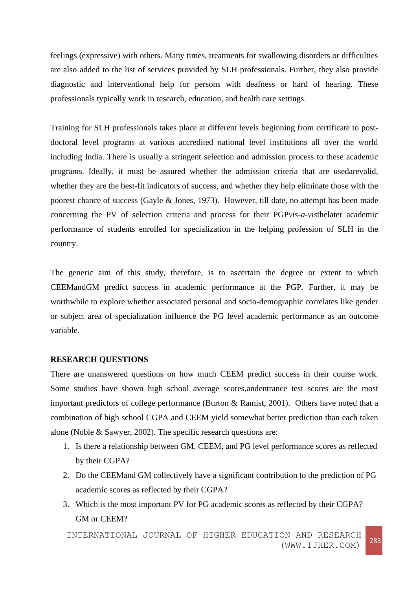feelings (expressive) with others. Many times, treatments for swallowing disorders or difficulties are also added to the list of services provided by SLH professionals. Further, they also provide diagnostic and interventional help for persons with deafness or hard of hearing. These professionals typically work in research, education, and health care settings.

Training for SLH professionals takes place at different levels beginning from certificate to postdoctoral level programs at various accredited national level institutions all over the world including India. There is usually a stringent selection and admission process to these academic programs. Ideally, it must be assured whether the admission criteria that are usedarevalid, whether they are the best-fit indicators of success, and whether they help eliminate those with the poorest chance of success (Gayle & Jones, 1973). However, till date, no attempt has been made concerning the PV of selection criteria and process for their PGP*vis-a-vis*thelater academic performance of students enrolled for specialization in the helping profession of SLH in the country.

The generic aim of this study, therefore, is to ascertain the degree or extent to which CEEMandGM predict success in academic performance at the PGP. Further, it may be worthwhile to explore whether associated personal and socio-demographic correlates like gender or subject area of specialization influence the PG level academic performance as an outcome variable.

## **RESEARCH QUESTIONS**

There are unanswered questions on how much CEEM predict success in their course work. Some studies have shown high school average scores,andentrance test scores are the most important predictors of college performance (Burton & Ramist, 2001). Others have noted that a combination of high school CGPA and CEEM yield somewhat better prediction than each taken alone (Noble & Sawyer, 2002). The specific research questions are:

- 1. Is there a relationship between GM, CEEM, and PG level performance scores as reflected by their CGPA?
- 2. Do the CEEMand GM collectively have a significant contribution to the prediction of PG academic scores as reflected by their CGPA?
- 3. Which is the most important PV for PG academic scores as reflected by their CGPA? GM or CEEM?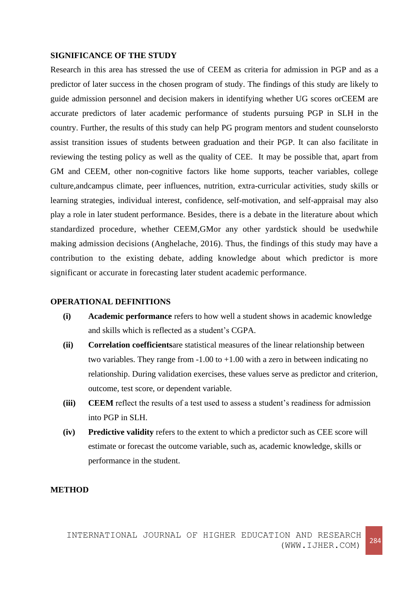#### **SIGNIFICANCE OF THE STUDY**

Research in this area has stressed the use of CEEM as criteria for admission in PGP and as a predictor of later success in the chosen program of study. The findings of this study are likely to guide admission personnel and decision makers in identifying whether UG scores orCEEM are accurate predictors of later academic performance of students pursuing PGP in SLH in the country. Further, the results of this study can help PG program mentors and student counselorsto assist transition issues of students between graduation and their PGP. It can also facilitate in reviewing the testing policy as well as the quality of CEE. It may be possible that, apart from GM and CEEM, other non-cognitive factors like home supports, teacher variables, college culture,andcampus climate, peer influences, nutrition, extra-curricular activities, study skills or learning strategies, individual interest, confidence, self-motivation, and self-appraisal may also play a role in later student performance. Besides, there is a debate in the literature about which standardized procedure, whether CEEM,GMor any other yardstick should be usedwhile making admission decisions (Anghelache, 2016). Thus, the findings of this study may have a contribution to the existing debate, adding knowledge about which predictor is more significant or accurate in forecasting later student academic performance.

#### **OPERATIONAL DEFINITIONS**

- **(i) Academic performance** refers to how well a student shows in academic knowledge and skills which is reflected as a student's CGPA.
- **(ii) Correlation coefficients**are statistical measures of the linear relationship between two variables. They range from  $-1.00$  to  $+1.00$  with a zero in between indicating no relationship. During validation exercises, these values serve as predictor and criterion, outcome, test score, or dependent variable.
- **(iii) CEEM** reflect the results of a test used to assess a student's readiness for admission into PGP in SLH.
- **(iv) Predictive validity** refers to the extent to which a predictor such as CEE score will estimate or forecast the outcome variable, such as, academic knowledge, skills or performance in the student.

## **METHOD**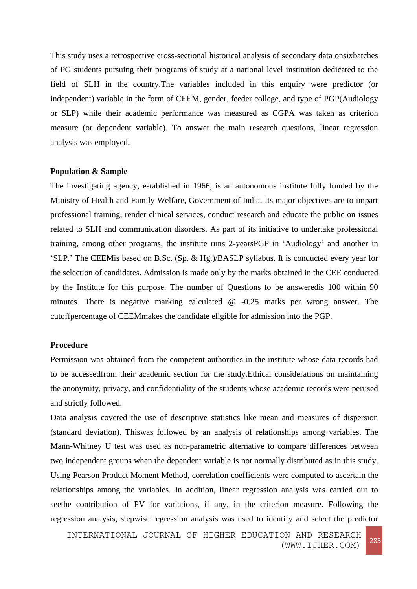This study uses a retrospective cross-sectional historical analysis of secondary data onsixbatches of PG students pursuing their programs of study at a national level institution dedicated to the field of SLH in the country.The variables included in this enquiry were predictor (or independent) variable in the form of CEEM, gender, feeder college, and type of PGP(Audiology or SLP) while their academic performance was measured as CGPA was taken as criterion measure (or dependent variable). To answer the main research questions, linear regression analysis was employed.

#### **Population & Sample**

The investigating agency, established in 1966, is an autonomous institute fully funded by the Ministry of Health and Family Welfare, Government of India. Its major objectives are to impart professional training, render clinical services, conduct research and educate the public on issues related to SLH and communication disorders. As part of its initiative to undertake professional training, among other programs, the institute runs 2-yearsPGP in 'Audiology' and another in 'SLP.' The CEEMis based on B.Sc. (Sp. & Hg.)/BASLP syllabus. It is conducted every year for the selection of candidates. Admission is made only by the marks obtained in the CEE conducted by the Institute for this purpose. The number of Questions to be answeredis 100 within 90 minutes. There is negative marking calculated @ -0.25 marks per wrong answer. The cutoffpercentage of CEEMmakes the candidate eligible for admission into the PGP.

#### **Procedure**

Permission was obtained from the competent authorities in the institute whose data records had to be accessedfrom their academic section for the study.Ethical considerations on maintaining the anonymity, privacy, and confidentiality of the students whose academic records were perused and strictly followed.

Data analysis covered the use of descriptive statistics like mean and measures of dispersion (standard deviation). Thiswas followed by an analysis of relationships among variables. The Mann-Whitney U test was used as non-parametric alternative to compare differences between two independent groups when the dependent variable is not normally distributed as in this study. Using Pearson Product Moment Method, correlation coefficients were computed to ascertain the relationships among the variables. In addition, linear regression analysis was carried out to seethe contribution of PV for variations, if any, in the criterion measure. Following the regression analysis, stepwise regression analysis was used to identify and select the predictor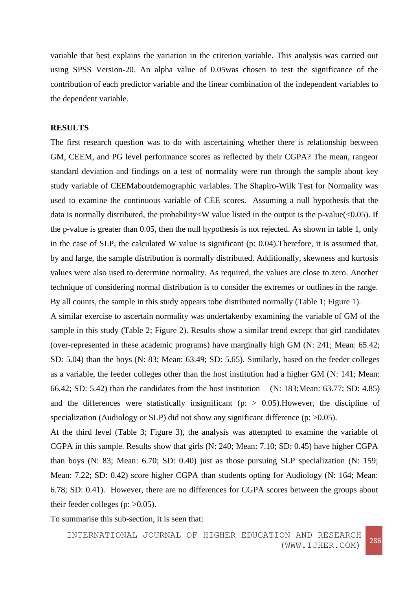variable that best explains the variation in the criterion variable. This analysis was carried out using SPSS Version-20. An alpha value of 0.05was chosen to test the significance of the contribution of each predictor variable and the linear combination of the independent variables to the dependent variable.

#### **RESULTS**

The first research question was to do with ascertaining whether there is relationship between GM, CEEM, and PG level performance scores as reflected by their CGPA? The mean, rangeor standard deviation and findings on a test of normality were run through the sample about key study variable of CEEMaboutdemographic variables. The Shapiro-Wilk Test for Normality was used to examine the continuous variable of CEE scores. Assuming a null hypothesis that the data is normally distributed, the probability<W value listed in the output is the p-value(<0.05). If the p-value is greater than 0.05, then the null hypothesis is not rejected. As shown in table 1, only in the case of SLP, the calculated W value is significant (p: 0.04).Therefore, it is assumed that, by and large, the sample distribution is normally distributed. Additionally, skewness and kurtosis values were also used to determine normality. As required, the values are close to zero. Another technique of considering normal distribution is to consider the extremes or outlines in the range. By all counts, the sample in this study appears tobe distributed normally (Table 1; Figure 1).

A similar exercise to ascertain normality was undertakenby examining the variable of GM of the sample in this study (Table 2; Figure 2). Results show a similar trend except that girl candidates (over-represented in these academic programs) have marginally high GM (N: 241; Mean: 65.42; SD: 5.04) than the boys (N: 83; Mean: 63.49; SD: 5.65). Similarly, based on the feeder colleges as a variable, the feeder colleges other than the host institution had a higher GM (N: 141; Mean: 66.42; SD: 5.42) than the candidates from the host institution (N: 183;Mean: 63.77; SD: 4.85) and the differences were statistically insignificant ( $p$ :  $> 0.05$ ). However, the discipline of specialization (Audiology or SLP) did not show any significant difference (p:  $>0.05$ ).

At the third level (Table 3; Figure 3), the analysis was attempted to examine the variable of CGPA in this sample. Results show that girls (N: 240; Mean: 7.10; SD: 0.45) have higher CGPA than boys (N: 83; Mean: 6.70; SD: 0.40) just as those pursuing SLP specialization (N: 159; Mean: 7.22; SD: 0.42) score higher CGPA than students opting for Audiology (N: 164; Mean: 6.78; SD: 0.41). However, there are no differences for CGPA scores between the groups about their feeder colleges (p:  $>0.05$ ).

To summarise this sub-section, it is seen that: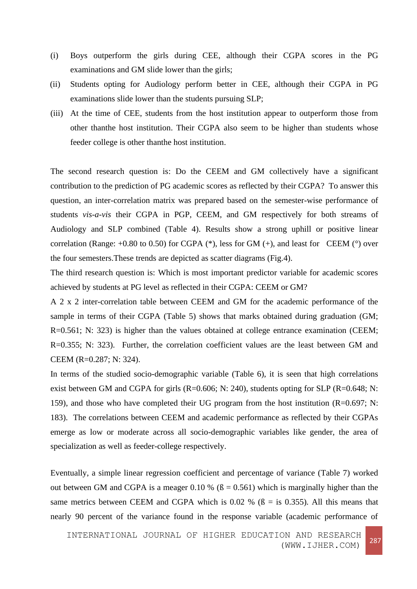- (i) Boys outperform the girls during CEE, although their CGPA scores in the PG examinations and GM slide lower than the girls;
- (ii) Students opting for Audiology perform better in CEE, although their CGPA in PG examinations slide lower than the students pursuing SLP;
- (iii) At the time of CEE, students from the host institution appear to outperform those from other thanthe host institution. Their CGPA also seem to be higher than students whose feeder college is other thanthe host institution.

The second research question is: Do the CEEM and GM collectively have a significant contribution to the prediction of PG academic scores as reflected by their CGPA? To answer this question, an inter-correlation matrix was prepared based on the semester-wise performance of students *vis-a-vis* their CGPA in PGP, CEEM, and GM respectively for both streams of Audiology and SLP combined (Table 4). Results show a strong uphill or positive linear correlation (Range:  $+0.80$  to 0.50) for CGPA (\*), less for GM (+), and least for CEEM ( $\degree$ ) over the four semesters.These trends are depicted as scatter diagrams (Fig.4).

The third research question is: Which is most important predictor variable for academic scores achieved by students at PG level as reflected in their CGPA: CEEM or GM?

A 2 x 2 inter-correlation table between CEEM and GM for the academic performance of the sample in terms of their CGPA (Table 5) shows that marks obtained during graduation (GM; R=0.561; N: 323) is higher than the values obtained at college entrance examination (CEEM; R=0.355; N: 323). Further, the correlation coefficient values are the least between GM and CEEM (R=0.287; N: 324).

In terms of the studied socio-demographic variable (Table 6), it is seen that high correlations exist between GM and CGPA for girls  $(R=0.606; N: 240)$ , students opting for SLP  $(R=0.648; N:$ 159), and those who have completed their UG program from the host institution (R=0.697; N: 183). The correlations between CEEM and academic performance as reflected by their CGPAs emerge as low or moderate across all socio-demographic variables like gender, the area of specialization as well as feeder-college respectively.

Eventually, a simple linear regression coefficient and percentage of variance (Table 7) worked out between GM and CGPA is a meager 0.10 % ( $\beta$  = 0.561) which is marginally higher than the same metrics between CEEM and CGPA which is 0.02 % ( $\beta$  = is 0.355). All this means that nearly 90 percent of the variance found in the response variable (academic performance of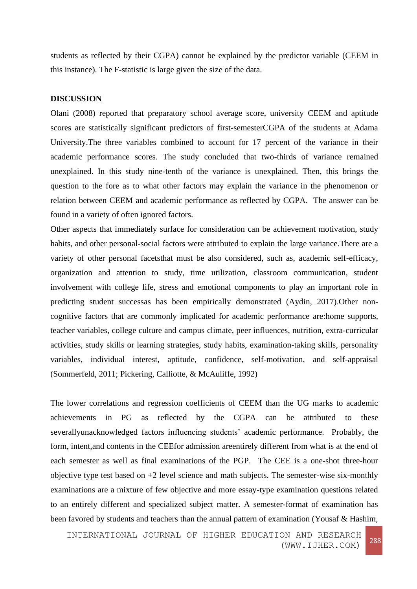students as reflected by their CGPA) cannot be explained by the predictor variable (CEEM in this instance). The F-statistic is large given the size of the data.

## **DISCUSSION**

Olani (2008) reported that preparatory school average score, university CEEM and aptitude scores are statistically significant predictors of first-semesterCGPA of the students at Adama University.The three variables combined to account for 17 percent of the variance in their academic performance scores. The study concluded that two-thirds of variance remained unexplained. In this study nine-tenth of the variance is unexplained. Then, this brings the question to the fore as to what other factors may explain the variance in the phenomenon or relation between CEEM and academic performance as reflected by CGPA. The answer can be found in a variety of often ignored factors.

Other aspects that immediately surface for consideration can be achievement motivation, study habits, and other personal-social factors were attributed to explain the large variance.There are a variety of other personal facetsthat must be also considered, such as, academic self-efficacy, organization and attention to study, time utilization, classroom communication, student involvement with college life, stress and emotional components to play an important role in predicting student successas has been empirically demonstrated (Aydin, 2017).Other noncognitive factors that are commonly implicated for academic performance are:home supports, teacher variables, college culture and campus climate, peer influences, nutrition, extra-curricular activities, study skills or learning strategies, study habits, examination-taking skills, personality variables, individual interest, aptitude, confidence, self-motivation, and self-appraisal (Sommerfeld, 2011; Pickering, Calliotte, & McAuliffe, 1992)

The lower correlations and regression coefficients of CEEM than the UG marks to academic achievements in PG as reflected by the CGPA can be attributed to these severallyunacknowledged factors influencing students' academic performance. Probably, the form, intent,and contents in the CEEfor admission areentirely different from what is at the end of each semester as well as final examinations of the PGP. The CEE is a one-shot three-hour objective type test based on  $+2$  level science and math subjects. The semester-wise six-monthly examinations are a mixture of few objective and more essay-type examination questions related to an entirely different and specialized subject matter. A semester-format of examination has been favored by students and teachers than the annual pattern of examination (Yousaf & Hashim,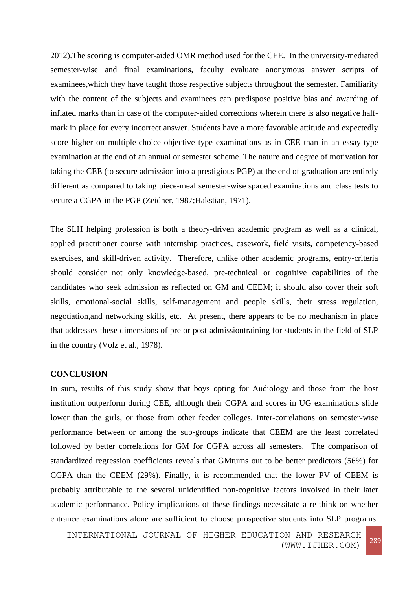2012).The scoring is computer-aided OMR method used for the CEE. In the university-mediated semester-wise and final examinations, faculty evaluate anonymous answer scripts of examinees,which they have taught those respective subjects throughout the semester. Familiarity with the content of the subjects and examinees can predispose positive bias and awarding of inflated marks than in case of the computer-aided corrections wherein there is also negative halfmark in place for every incorrect answer. Students have a more favorable attitude and expectedly score higher on multiple-choice objective type examinations as in CEE than in an essay-type examination at the end of an annual or semester scheme. The nature and degree of motivation for taking the CEE (to secure admission into a prestigious PGP) at the end of graduation are entirely different as compared to taking piece-meal semester-wise spaced examinations and class tests to secure a CGPA in the PGP (Zeidner, 1987; Hakstian, 1971).

The SLH helping profession is both a theory-driven academic program as well as a clinical, applied practitioner course with internship practices, casework, field visits, competency-based exercises, and skill-driven activity. Therefore, unlike other academic programs, entry-criteria should consider not only knowledge-based, pre-technical or cognitive capabilities of the candidates who seek admission as reflected on GM and CEEM; it should also cover their soft skills, emotional-social skills, self-management and people skills, their stress regulation, negotiation,and networking skills, etc. At present, there appears to be no mechanism in place that addresses these dimensions of pre or post-admissiontraining for students in the field of SLP in the country (Volz et al., 1978).

## **CONCLUSION**

In sum, results of this study show that boys opting for Audiology and those from the host institution outperform during CEE, although their CGPA and scores in UG examinations slide lower than the girls, or those from other feeder colleges. Inter-correlations on semester-wise performance between or among the sub-groups indicate that CEEM are the least correlated followed by better correlations for GM for CGPA across all semesters. The comparison of standardized regression coefficients reveals that GMturns out to be better predictors (56%) for CGPA than the CEEM (29%). Finally, it is recommended that the lower PV of CEEM is probably attributable to the several unidentified non-cognitive factors involved in their later academic performance. Policy implications of these findings necessitate a re-think on whether entrance examinations alone are sufficient to choose prospective students into SLP programs.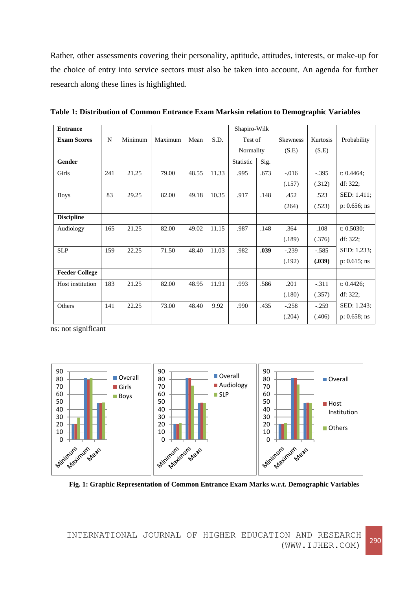Rather, other assessments covering their personality, aptitude, attitudes, interests, or make-up for the choice of entry into service sectors must also be taken into account. An agenda for further research along these lines is highlighted.

| <b>Entrance</b>       |     |         |         |       |       | Shapiro-Wilk      |                            |          |          |                 |
|-----------------------|-----|---------|---------|-------|-------|-------------------|----------------------------|----------|----------|-----------------|
| <b>Exam Scores</b>    | N   | Minimum | Maximum | Mean  | S.D.  |                   | Test of<br><b>Skewness</b> |          | Kurtosis | Probability     |
|                       |     |         |         |       |       | Normality         |                            | (S.E)    | (S.E)    |                 |
| Gender                |     |         |         |       |       | Statistic<br>Sig. |                            |          |          |                 |
| Girls                 | 241 | 21.25   | 79.00   | 48.55 | 11.33 | .995              | .673                       | $-0.016$ | $-.395$  | t: 0.4464;      |
|                       |     |         |         |       |       |                   |                            | (.157)   | (.312)   | df: 322;        |
| <b>Boys</b>           | 83  | 29.25   | 82.00   | 49.18 | 10.35 | .917              | .148                       | .452     | .523     | SED: 1.411;     |
|                       |     |         |         |       |       |                   |                            | (264)    | (.523)   | $p: 0.656;$ ns  |
| <b>Discipline</b>     |     |         |         |       |       |                   |                            |          |          |                 |
| Audiology             | 165 | 21.25   | 82.00   | 49.02 | 11.15 | .987              | .148                       | .364     | .108     | t: 0.5030;      |
|                       |     |         |         |       |       |                   |                            | (.189)   | (.376)   | df: 322;        |
| <b>SLP</b>            | 159 | 22.25   | 71.50   | 48.40 | 11.03 | .982              | .039                       | $-.239$  | $-.585$  | SED: 1.233;     |
|                       |     |         |         |       |       |                   |                            | (.192)   | (.039)   | $p: 0.615$ ; ns |
| <b>Feeder College</b> |     |         |         |       |       |                   |                            |          |          |                 |
| Host institution      | 183 | 21.25   | 82.00   | 48.95 | 11.91 | .993              | .586                       | .201     | $-.311$  | t: $0.4426$ ;   |
|                       |     |         |         |       |       |                   |                            | (.180)   | (.357)   | df: 322;        |
| Others                | 141 | 22.25   | 73.00   | 48.40 | 9.92  | .990              | .435                       | $-.258$  | $-.259$  | SED: 1.243;     |
|                       |     |         |         |       |       |                   |                            | (.204)   | (.406)   | $p: 0.658;$ ns  |

**Table 1: Distribution of Common Entrance Exam Marksin relation to Demographic Variables**

ns: not significant



**Fig. 1: Graphic Representation of Common Entrance Exam Marks w.r.t. Demographic Variables**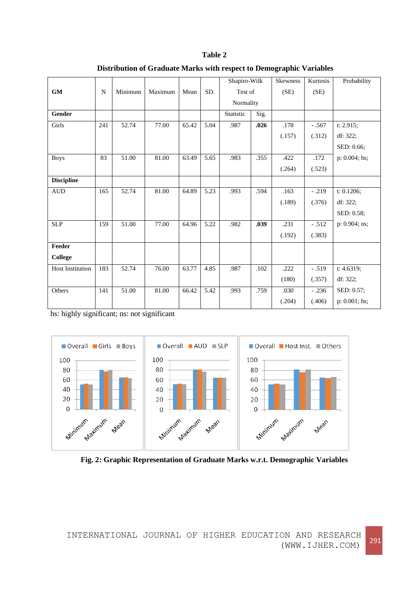|                                                  |             |         |         |       |      | Shapiro-Wilk |      | Skewness | Kurtosis | Probability     |
|--------------------------------------------------|-------------|---------|---------|-------|------|--------------|------|----------|----------|-----------------|
| $\boldsymbol{\mathsf{G}}\boldsymbol{\mathsf{M}}$ | $\mathbf N$ | Minimum | Maximum | Mean  | SD.  | Test of      |      | (SE)     | (SE)     |                 |
|                                                  |             |         |         |       |      | Normality    |      |          |          |                 |
| Gender                                           |             |         |         |       |      | Statistic    | Sig. |          |          |                 |
| Girls                                            | 241         | 52.74   | 77.00   | 65.42 | 5.04 | .987         | .026 | .178     | $-.567$  | t: $2.915$ ;    |
|                                                  |             |         |         |       |      |              |      | (.157)   | (.312)   | df: 322;        |
|                                                  |             |         |         |       |      |              |      |          |          | SED: 0.66;      |
| <b>Boys</b>                                      | 83          | 51.00   | 81.00   | 63.49 | 5.65 | .983         | .355 | .422     | .172     | $p: 0.004;$ hs; |
|                                                  |             |         |         |       |      |              |      | (.264)   | (.523)   |                 |
| <b>Discipline</b>                                |             |         |         |       |      |              |      |          |          |                 |
| <b>AUD</b>                                       | 165         | 52.74   | 81.00   | 64.89 | 5.23 | .993         | .594 | .163     | $-.219$  | t: 0.1206;      |
|                                                  |             |         |         |       |      |              |      | (.189)   | (.376)   | df: 322:        |
|                                                  |             |         |         |       |      |              |      |          |          | SED: 0.58;      |
| <b>SLP</b>                                       | 159         | 51.00   | 77.00   | 64.96 | 5.22 | .982         | .039 | .231     | $-.512$  | p: 0.904; ns;   |
|                                                  |             |         |         |       |      |              |      | (.192)   | (.383)   |                 |
| Feeder                                           |             |         |         |       |      |              |      |          |          |                 |
| College                                          |             |         |         |       |      |              |      |          |          |                 |
| <b>Host Institution</b>                          | 183         | 52.74   | 76.00   | 63.77 | 4.85 | .987         | .102 | .222     | $-.519$  | t: 4.6319;      |
|                                                  |             |         |         |       |      |              |      | (180)    | (.357)   | df: 322;        |
| Others                                           | 141         | 51.00   | 81.00   | 66.42 | 5.42 | .993         | .759 | .030     | $-.236$  | SED: 0.57;      |
|                                                  |             |         |         |       |      |              |      | (.204)   | (.406)   | $p: 0.001;$ hs; |

| Table 2                                                                     |  |
|-----------------------------------------------------------------------------|--|
| <b>Distribution of Graduate Marks with respect to Demographic Variables</b> |  |

hs: highly significant; ns: not significant



**Fig. 2: Graphic Representation of Graduate Marks w.r.t. Demographic Variables**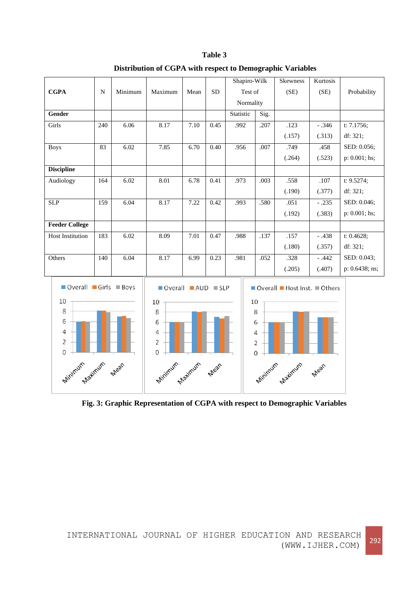| <b>CGPA</b>                                                                         | ${\bf N}$ | Minimum | Maximum                                                                  | Mean | <b>SD</b> | Shapiro-Wilk<br>Test of<br>Normality |                                          | Skewness<br>(SE)                                  | Kurtosis<br>(SE) | Probability    |
|-------------------------------------------------------------------------------------|-----------|---------|--------------------------------------------------------------------------|------|-----------|--------------------------------------|------------------------------------------|---------------------------------------------------|------------------|----------------|
| Gender                                                                              |           |         |                                                                          |      |           | Statistic                            | Sig.                                     |                                                   |                  |                |
| Girls                                                                               | 240       | 6.06    | 8.17                                                                     | 7.10 | 0.45      | .992                                 | .207                                     | .123                                              | $-.346$          | t: 7.1756;     |
|                                                                                     |           |         |                                                                          |      |           |                                      |                                          | (.157)                                            | (.313)           | df: 321;       |
| <b>Boys</b>                                                                         | 83        | 6.02    | 7.85                                                                     | 6.70 | 0.40      | .956                                 | .007                                     | .749                                              | .458             | SED: 0.056;    |
|                                                                                     |           |         |                                                                          |      |           |                                      |                                          | (.264)                                            | (.523)           | p: 0.001; hs;  |
| <b>Discipline</b>                                                                   |           |         |                                                                          |      |           |                                      |                                          |                                                   |                  |                |
| Audiology                                                                           | 164       | 6.02    | 8.01                                                                     | 6.78 | 0.41      | .973                                 | .003                                     | .558                                              | .107             | t: 9.5274;     |
|                                                                                     |           |         |                                                                          |      |           |                                      |                                          | (.190)                                            | (.377)           | df: 321;       |
| <b>SLP</b>                                                                          | 159       | 6.04    | 8.17                                                                     | 7.22 | 0.42      | .993                                 | .580                                     | .051                                              | $-.235$          | SED: 0.046;    |
|                                                                                     |           |         |                                                                          |      |           |                                      |                                          | (.192)                                            | (.383)           | p: 0.001; hs;  |
| <b>Feeder College</b>                                                               |           |         |                                                                          |      |           |                                      |                                          |                                                   |                  |                |
| <b>Host Institution</b>                                                             | 183       | 6.02    | 8.09                                                                     | 7.01 | 0.47      | .988                                 | .137                                     | .157                                              | $-.438$          | t: 0.4628;     |
|                                                                                     |           |         |                                                                          |      |           |                                      |                                          | (.180)                                            | (.357)           | df: 321;       |
| Others                                                                              | 140       | 6.04    | 8.17                                                                     | 6.99 | 0.23      | .981                                 | .052                                     | .328                                              | $-.442$          | SED: 0.043;    |
|                                                                                     |           |         |                                                                          |      |           |                                      |                                          | (.205)                                            | (.407)           | p: 0.6438; ns; |
| Overall Girls Boys<br>10<br>8<br>6<br>4<br>2<br>$\mathbf 0$<br>Minimum Maximum Mean |           |         | Overall AUD SLP<br>10<br>8<br>6<br>4<br>2<br>0<br>Minimum Apatiquin Mean |      |           |                                      | 10<br>8<br>6<br>4<br>$\overline{2}$<br>0 | Overall Host Inst. Others<br>Minimum Maximum Mean |                  |                |

**Table 3 Distribution of CGPA with respect to Demographic Variables**

**Fig. 3: Graphic Representation of CGPA with respect to Demographic Variables**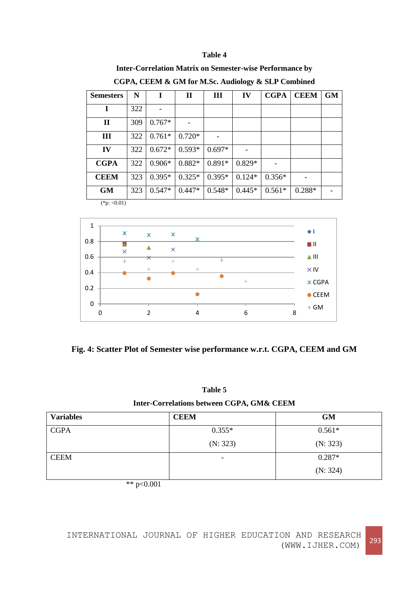#### **Table 4**

### **Inter-Correlation Matrix on Semester-wise Performance by**

| <b>Semesters</b> | N   | I        | $\mathbf H$ | III      | IV       | <b>CGPA</b> | <b>CEEM</b> | <b>GM</b> |
|------------------|-----|----------|-------------|----------|----------|-------------|-------------|-----------|
| I                | 322 |          |             |          |          |             |             |           |
| $\mathbf{I}$     | 309 | $0.767*$ |             |          |          |             |             |           |
| Ш                | 322 | $0.761*$ | $0.720*$    |          |          |             |             |           |
| IV               | 322 | $0.672*$ | $0.593*$    | $0.697*$ |          |             |             |           |
| <b>CGPA</b>      | 322 | $0.906*$ | $0.882*$    | $0.891*$ | $0.829*$ |             |             |           |
| <b>CEEM</b>      | 323 | $0.395*$ | $0.325*$    | $0.395*$ | $0.124*$ | $0.356*$    |             |           |
| <b>GM</b>        | 323 | $0.547*$ | $0.447*$    | $0.548*$ | $0.445*$ | $0.561*$    | $0.288*$    |           |
| $(*n: < 0.01)$   |     |          |             |          |          |             |             |           |

**CGPA, CEEM & GM for M.Sc. Audiology & SLP Combined** 

 $(*p: <0.01)$ 





| Table 5                                   |
|-------------------------------------------|
| Inter-Correlations between CGPA, GM& CEEM |

| <b>Variables</b> | <b>CEEM</b>              | <b>GM</b> |
|------------------|--------------------------|-----------|
| <b>CGPA</b>      | $0.355*$                 | $0.561*$  |
|                  | (N: 323)                 | (N: 323)  |
| <b>CEEM</b>      | $\overline{\phantom{a}}$ | $0.287*$  |
|                  |                          | (N: 324)  |

\*\*  $p<0.001$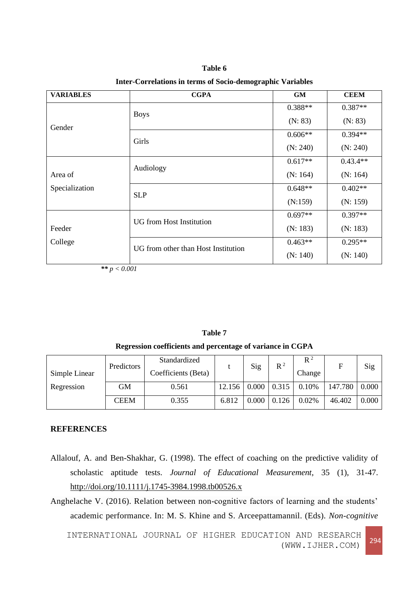**Table 6 Inter-Correlations in terms of Socio-demographic Variables**

| <b>VARIABLES</b> | <b>CGPA</b>                         | <b>GM</b> | <b>CEEM</b> |
|------------------|-------------------------------------|-----------|-------------|
|                  | <b>Boys</b>                         | $0.388**$ | $0.387**$   |
| Gender           |                                     | (N: 83)   | (N: 83)     |
|                  | Girls                               | $0.606**$ | $0.394**$   |
|                  |                                     | (N: 240)  | (N: 240)    |
|                  |                                     | $0.617**$ | $0.43.4**$  |
| Area of          | Audiology                           | (N: 164)  | (N: 164)    |
| Specialization   | <b>SLP</b>                          | $0.648**$ | $0.402**$   |
|                  |                                     | (N:159)   | (N: 159)    |
|                  | <b>UG</b> from Host Institution     | $0.697**$ | $0.397**$   |
| Feeder           |                                     | (N: 183)  | (N: 183)    |
| College          | UG from other than Host Institution | $0.463**$ | $0.295**$   |
|                  |                                     | (N: 140)  | (N: 140)    |

*\*\* p < 0.001*

| Table 7                                                    |
|------------------------------------------------------------|
| Regression coefficients and percentage of variance in CGPA |

| Simple Linear | Predictors  | Standardized<br>Coefficients (Beta) |                                | Sig   | $R^2$ | $\mathbb{R}^2$<br>Change | F       | Sig   |
|---------------|-------------|-------------------------------------|--------------------------------|-------|-------|--------------------------|---------|-------|
| Regression    | GМ          | 0.561                               | $12.156 \mid 0.000 \mid 0.315$ |       |       | 0.10%                    | 147.780 | 0.000 |
|               | <b>CEEM</b> | 0.355                               | 6.812                          | 0.000 | 0.126 | 0.02%                    | 46.402  | 0.000 |

## **REFERENCES**

Allalouf, A. and Ben-Shakhar, G. (1998). The effect of coaching on the predictive validity of scholastic aptitude tests. *Journal of Educational Measurement*, 35 (1), 31-47. <http://doi.org/10.1111/j.1745-3984.1998.tb00526.x>

Anghelache V. (2016). Relation between non-cognitive factors of learning and the students' academic performance. In: M. S. Khine and S. Arceepattamannil. (Eds). *Non-cognitive*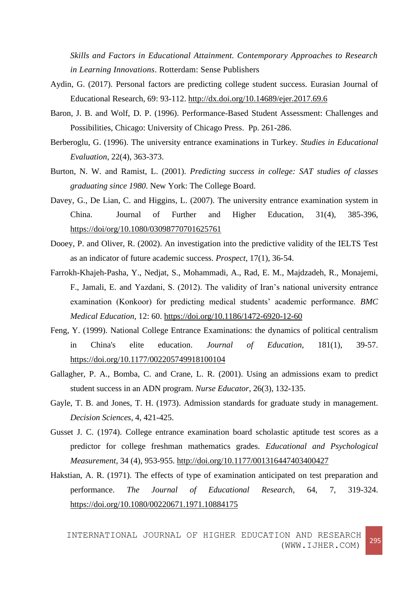*Skills and Factors in Educational Attainment. Contemporary Approaches to Research in Learning Innovations*. Rotterdam: Sense Publishers

- Aydin, G. (2017). Personal factors are predicting college student success. Eurasian Journal of Educational Research, 69: 93-112.<http://dx.doi.org/10.14689/ejer.2017.69.6>
- Baron, J. B. and Wolf, D. P. (1996). Performance-Based Student Assessment: Challenges and Possibilities, Chicago: University of Chicago Press. Pp. 261-286.
- Berberoglu, G. (1996). The university entrance examinations in Turkey. *Studies in Educational Evaluation*, 22(4), 363-373.
- Burton, N. W. and Ramist, L. (2001). *Predicting success in college: SAT studies of classes graduating since 1980*. New York: The College Board.
- Davey, G., De Lian, C. and Higgins, L. (2007). The university entrance examination system in China. Journal of Further and Higher Education, 31(4), 385-396, <https://doi/org/10.1080/03098770701625761>
- Dooey, P. and Oliver, R. (2002). An investigation into the predictive validity of the IELTS Test as an indicator of future academic success. *Prospect*, 17(1), 36-54.
- Farrokh-Khajeh-Pasha, Y., Nedjat, S., Mohammadi, A., Rad, E. M., Majdzadeh, R., Monajemi, F., Jamali, E. and Yazdani, S. (2012). The validity of Iran's national university entrance examination (Konkoor) for predicting medical students' academic performance. *BMC Medical Education*, 12: 60.<https://doi.org/10.1186/1472-6920-12-60>
- Feng, Y. (1999). National College Entrance Examinations: the dynamics of political centralism in China's elite education. *Journal of Education*, 181(1), 39-57. <https://doi.org/10.1177/002205749918100104>
- Gallagher, P. A., Bomba, C. and Crane, L. R. (2001). Using an admissions exam to predict student success in an ADN program. *Nurse Educator*, 26(3), 132-135.
- Gayle, T. B. and Jones, T. H. (1973). Admission standards for graduate study in management. *Decision Sciences*, 4, 421-425.
- Gusset J. C. (1974). College entrance examination board scholastic aptitude test scores as a predictor for college freshman mathematics grades. *Educational and Psychological Measurement,* 34 (4), 953-955.<http://doi.org/10.1177/001316447403400427>
- Hakstian, A. R. (1971). The effects of type of examination anticipated on test preparation and performance. *The Journal of Educational Research*, 64, 7, 319-324. <https://doi.org/10.1080/00220671.1971.10884175>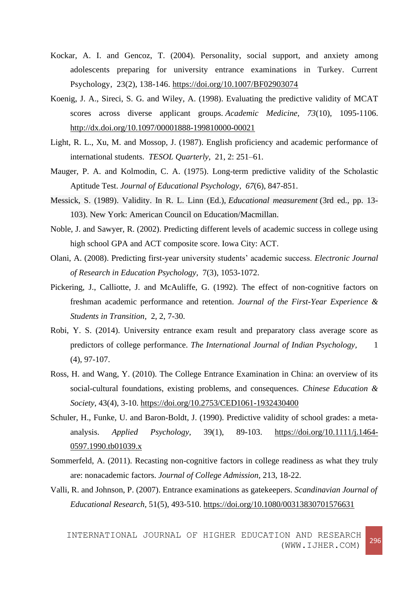- Kockar, A. I. and Gencoz, T. (2004). Personality, social support, and anxiety among adolescents preparing for university entrance examinations in Turkey. Current Psychology, 23(2), 138-146.<https://doi.org/10.1007/BF02903074>
- Koenig, J. A., Sireci, S. G. and Wiley, A. (1998). Evaluating the predictive validity of MCAT scores across diverse applicant groups. *Academic Medicine, 73*(10), 1095-1106. [http://dx.doi.org/10.1097/00001888-199810000-00021](http://psycnet.apa.org/doi/10.1097/00001888-199810000-00021)
- Light, R. L., Xu, M. and Mossop, J. (1987). English proficiency and academic performance of international students. *TESOL Quarterly,* 21, 2: 251–61.
- Mauger, P. A. and Kolmodin, C. A. (1975). Long-term predictive validity of the Scholastic Aptitude Test. *Journal of Educational Psychology, 67*(6), 847-851.
- Messick, S. (1989). Validity. In R. L. Linn (Ed.), *Educational measurement* (3rd ed., pp. 13- 103). New York: American Council on Education/Macmillan.
- Noble, J. and Sawyer, R. (2002). Predicting different levels of academic success in college using high school GPA and ACT composite score. Iowa City: ACT.
- Olani, A. (2008). Predicting first-year university students' academic success. *Electronic Journal of Research in Education Psychology,* 7(3), 1053-1072.
- Pickering, J., Calliotte, J. and McAuliffe, G. (1992). The effect of non-cognitive factors on freshman academic performance and retention. *Journal of the First-Year Experience & Students in Transition,* 2, 2, 7-30.
- Robi, Y. S. (2014). University entrance exam result and preparatory class average score as predictors of college performance. *The International Journal of Indian Psychology*, 1 (4), 97-107.
- Ross, H. and Wang, Y. (2010). The College Entrance Examination in China: an overview of its social-cultural foundations, existing problems, and consequences. *Chinese Education & Society*, 43(4), 3-10.<https://doi.org/10.2753/CED1061-1932430400>
- Schuler, H., Funke, U. and Baron-Boldt, J. (1990). Predictive validity of school grades: a metaanalysis. *Applied Psychology,* 39(1), 89-103. [https://doi.org/10.1111/j.1464-](https://doi.org/10.1111/j.1464-0597.1990.tb01039.x) [0597.1990.tb01039.x](https://doi.org/10.1111/j.1464-0597.1990.tb01039.x)
- Sommerfeld, A. (2011). Recasting non-cognitive factors in college readiness as what they truly are: nonacademic factors. *Journal of College Admission,* 213, 18-22.
- Valli, R. and Johnson, P. (2007). Entrance examinations as gatekeepers. *Scandinavian Journal of Educational Research,* 51(5), 493-510.<https://doi.org/10.1080/00313830701576631>